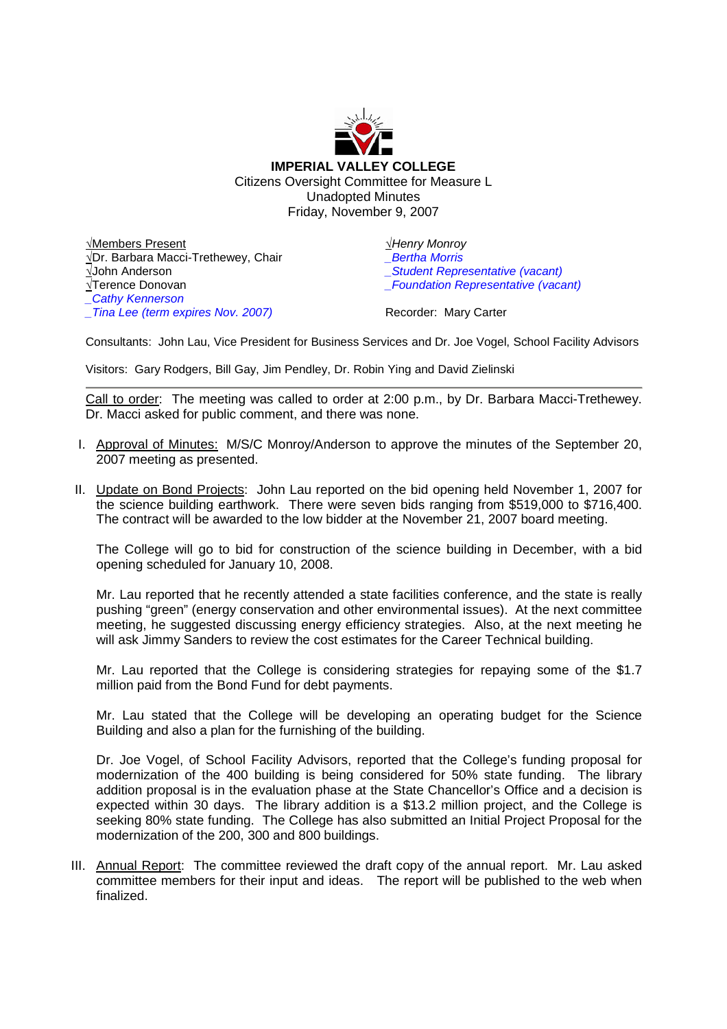

√Members Present √Dr. Barbara Macci-Trethewey, Chair √John Anderson √Terence Donovan *\_Cathy Kennerson \_Tina Lee (term expires Nov. 2007)*

√*Henry Monroy \_Bertha Morris*

*\_Student Representative (vacant)*

*\_Foundation Representative (vacant)*

Recorder: Mary Carter

Consultants: John Lau, Vice President for Business Services and Dr. Joe Vogel, School Facility Advisors

Visitors: Gary Rodgers, Bill Gay, Jim Pendley, Dr. Robin Ying and David Zielinski

Call to order: The meeting was called to order at 2:00 p.m., by Dr. Barbara Macci-Trethewey. Dr. Macci asked for public comment, and there was none.

- I. Approval of Minutes: M/S/C Monroy/Anderson to approve the minutes of the September 20, 2007 meeting as presented.
- II. Update on Bond Projects: John Lau reported on the bid opening held November 1, 2007 for the science building earthwork. There were seven bids ranging from \$519,000 to \$716,400. The contract will be awarded to the low bidder at the November 21, 2007 board meeting.

The College will go to bid for construction of the science building in December, with a bid opening scheduled for January 10, 2008.

Mr. Lau reported that he recently attended a state facilities conference, and the state is really pushing "green" (energy conservation and other environmental issues). At the next committee meeting, he suggested discussing energy efficiency strategies. Also, at the next meeting he will ask Jimmy Sanders to review the cost estimates for the Career Technical building.

Mr. Lau reported that the College is considering strategies for repaying some of the \$1.7 million paid from the Bond Fund for debt payments.

Mr. Lau stated that the College will be developing an operating budget for the Science Building and also a plan for the furnishing of the building.

Dr. Joe Vogel, of School Facility Advisors, reported that the College's funding proposal for modernization of the 400 building is being considered for 50% state funding. The library addition proposal is in the evaluation phase at the State Chancellor's Office and a decision is expected within 30 days. The library addition is a \$13.2 million project, and the College is seeking 80% state funding. The College has also submitted an Initial Project Proposal for the modernization of the 200, 300 and 800 buildings.

III. Annual Report: The committee reviewed the draft copy of the annual report. Mr. Lau asked committee members for their input and ideas. The report will be published to the web when finalized.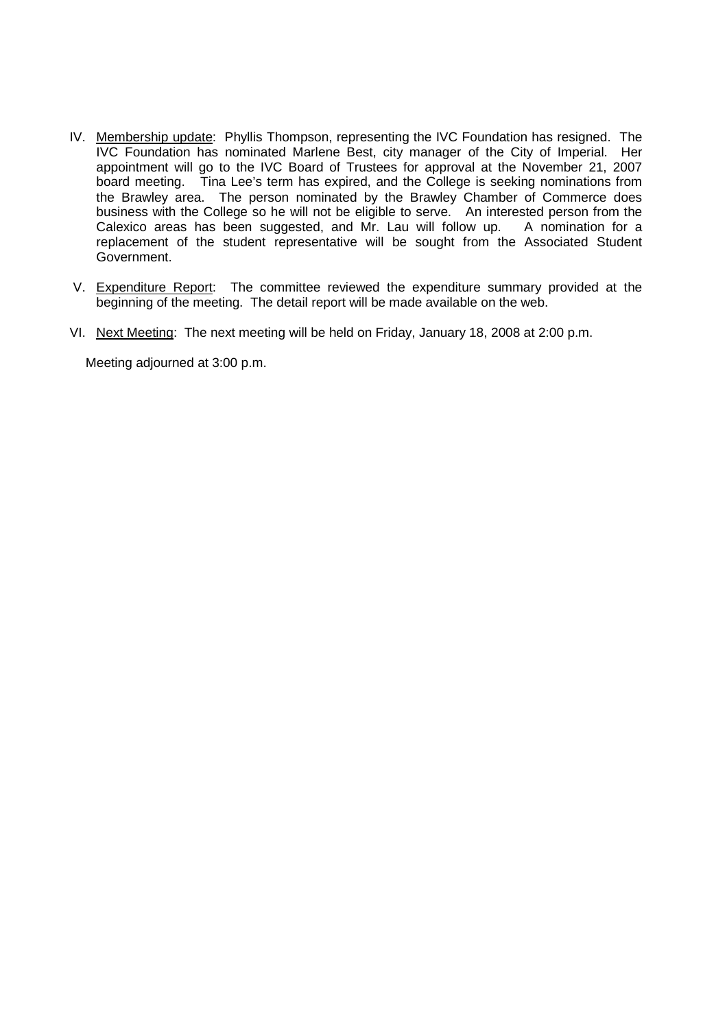- IV. Membership update: Phyllis Thompson, representing the IVC Foundation has resigned. The IVC Foundation has nominated Marlene Best, city manager of the City of Imperial. Her appointment will go to the IVC Board of Trustees for approval at the November 21, 2007 board meeting. Tina Lee's term has expired, and the College is seeking nominations from the Brawley area. The person nominated by the Brawley Chamber of Commerce does business with the College so he will not be eligible to serve. An interested person from the Calexico areas has been suggested, and Mr. Lau will follow up. A nomination for a replacement of the student representative will be sought from the Associated Student Government.
- V. Expenditure Report: The committee reviewed the expenditure summary provided at the beginning of the meeting. The detail report will be made available on the web.
- VI. Next Meeting: The next meeting will be held on Friday, January 18, 2008 at 2:00 p.m.

Meeting adjourned at 3:00 p.m.